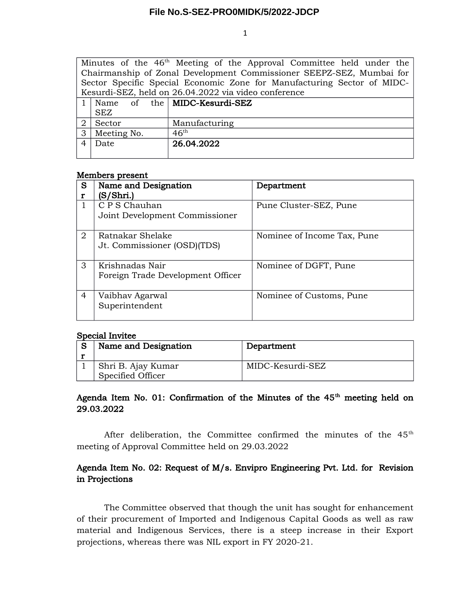## **File No.S-SEZ-PRO0MIDK/5/2022-JDCP**

1

Minutes of the  $46<sup>th</sup>$  Meeting of the Approval Committee held under the Chairmanship of Zonal Development Commissioner SEEPZ-SEZ, Mumbai for Sector Specific Special Economic Zone for Manufacturing Sector of MIDC-Kesurdi-SEZ, held on 26.04.2022 via video conference

|   | of<br>Name  | the   MIDC-Kesurdi-SEZ |  |  |  |  |
|---|-------------|------------------------|--|--|--|--|
|   | <b>SEZ</b>  |                        |  |  |  |  |
|   | Sector      | Manufacturing          |  |  |  |  |
| 3 | Meeting No. | $46^{\text{th}}$       |  |  |  |  |
|   | Date        | 26.04.2022             |  |  |  |  |
|   |             |                        |  |  |  |  |

#### Members present

| S | Name and Designation                                 | Department                  |  |  |
|---|------------------------------------------------------|-----------------------------|--|--|
| r | (S/Shri.)                                            |                             |  |  |
|   | C P S Chauhan<br>Joint Development Commissioner      | Pune Cluster-SEZ, Pune      |  |  |
| 2 | Ratnakar Shelake<br>Jt. Commissioner (OSD)(TDS)      | Nominee of Income Tax, Pune |  |  |
| 3 | Krishnadas Nair<br>Foreign Trade Development Officer | Nominee of DGFT, Pune       |  |  |
| 4 | Vaibhav Agarwal<br>Superintendent                    | Nominee of Customs, Pune    |  |  |

#### Special Invitee

| Name and Designation | Department       |
|----------------------|------------------|
| Shri B. Ajay Kumar   | MIDC-Kesurdi-SEZ |
| Specified Officer    |                  |

# Agenda Item No. 01: Confirmation of the Minutes of the  $45<sup>th</sup>$  meeting held on 29.03.2022

After deliberation, the Committee confirmed the minutes of the  $45<sup>th</sup>$ meeting of Approval Committee held on 29.03.2022

# Agenda Item No. 02: Request of M/s. Envipro Engineering Pvt. Ltd. for Revision in Projections

The Committee observed that though the unit has sought for enhancement of their procurement of Imported and Indigenous Capital Goods as well as raw material and Indigenous Services, there is a steep increase in their Export projections, whereas there was NIL export in FY 2020-21.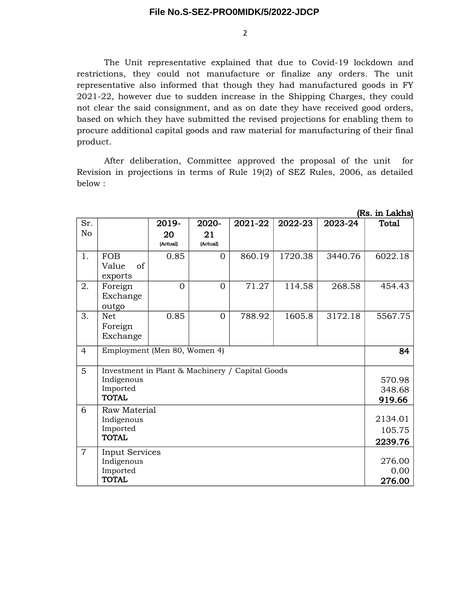### **File No.S-SEZ-PRO0MIDK/5/2022-JDCP**

2

The Unit representative explained that due to Covid-19 lockdown and restrictions, they could not manufacture or finalize any orders. The unit representative also informed that though they had manufactured goods in FY 2021-22, however due to sudden increase in the Shipping Charges, they could not clear the said consignment, and as on date they have received good orders, based on which they have submitted the revised projections for enabling them to procure additional capital goods and raw material for manufacturing of their final product.

After deliberation, Committee approved the proposal of the unit for Revision in projections in terms of Rule 19(2) of SEZ Rules, 2006, as detailed below :

|                | (Rs. in Lakhs)                                  |                |                |         |         |         |         |  |
|----------------|-------------------------------------------------|----------------|----------------|---------|---------|---------|---------|--|
| Sr.            |                                                 | 2019-          | 2020-          | 2021-22 | 2022-23 | 2023-24 | Total   |  |
| No             |                                                 | 20<br>(Actual) | 21<br>(Actual) |         |         |         |         |  |
| 1.             | <b>FOB</b><br>of<br>Value<br>exports            | 0.85           | $\Omega$       | 860.19  | 1720.38 | 3440.76 | 6022.18 |  |
| 2.             | Foreign<br>Exchange<br>outgo                    | $\Omega$       | $\Omega$       | 71.27   | 114.58  | 268.58  | 454.43  |  |
| 3.             | <b>Net</b><br>Foreign<br>Exchange               | 0.85           | $\Omega$       | 788.92  | 1605.8  | 3172.18 | 5567.75 |  |
| $\overline{4}$ | Employment (Men 80, Women 4)                    |                |                |         |         |         | 84      |  |
| 5              | Investment in Plant & Machinery / Capital Goods |                |                |         |         |         |         |  |
|                | Indigenous                                      |                |                |         |         |         | 570.98  |  |
|                | Imported                                        |                | 348.68         |         |         |         |         |  |
|                | <b>TOTAL</b>                                    |                |                |         |         |         | 919.66  |  |
| 6              | <b>Raw Material</b>                             |                |                |         |         |         |         |  |
|                | Indigenous                                      |                |                |         |         |         | 2134.01 |  |
|                | Imported<br><b>TOTAL</b>                        |                |                |         |         |         | 105.75  |  |
|                |                                                 |                |                |         |         |         | 2239.76 |  |
| $\overline{7}$ | <b>Input Services</b>                           |                |                |         |         |         |         |  |
|                | Indigenous                                      |                |                |         |         |         | 276.00  |  |
|                | Imported                                        |                |                |         |         |         | 0.00    |  |
|                | <b>TOTAL</b>                                    |                |                |         |         |         | 276.00  |  |

 $\mathbf{R}$  in Lakhsbarr (1985)